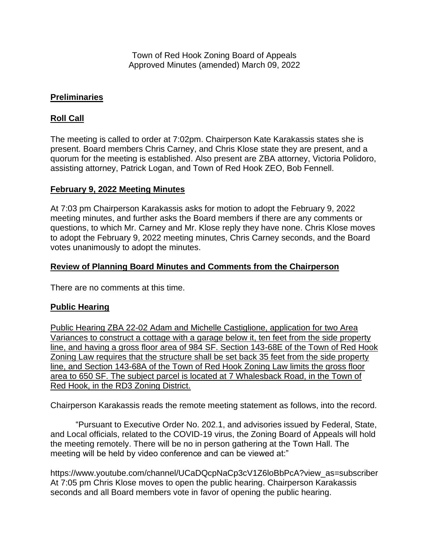Town of Red Hook Zoning Board of Appeals Approved Minutes (amended) March 09, 2022

## **Preliminaries**

# **Roll Call**

The meeting is called to order at 7:02pm. Chairperson Kate Karakassis states she is present. Board members Chris Carney, and Chris Klose state they are present, and a quorum for the meeting is established. Also present are ZBA attorney, Victoria Polidoro, assisting attorney, Patrick Logan, and Town of Red Hook ZEO, Bob Fennell.

### **February 9, 2022 Meeting Minutes**

At 7:03 pm Chairperson Karakassis asks for motion to adopt the February 9, 2022 meeting minutes, and further asks the Board members if there are any comments or questions, to which Mr. Carney and Mr. Klose reply they have none. Chris Klose moves to adopt the February 9, 2022 meeting minutes, Chris Carney seconds, and the Board votes unanimously to adopt the minutes.

#### **Review of Planning Board Minutes and Comments from the Chairperson**

There are no comments at this time.

### **Public Hearing**

Public Hearing ZBA 22-02 Adam and Michelle Castiglione, application for two Area Variances to construct a cottage with a garage below it, ten feet from the side property line, and having a gross floor area of 984 SF. Section 143-68E of the Town of Red Hook Zoning Law requires that the structure shall be set back 35 feet from the side property line, and Section 143-68A of the Town of Red Hook Zoning Law limits the gross floor area to 650 SF. The subject parcel is located at 7 Whalesback Road, in the Town of Red Hook, in the RD3 Zoning District.

Chairperson Karakassis reads the remote meeting statement as follows, into the record.

"Pursuant to Executive Order No. 202.1, and advisories issued by Federal, State, and Local officials, related to the COVID-19 virus, the Zoning Board of Appeals will hold the meeting remotely. There will be no in person gathering at the Town Hall. The meeting will be held by video conference and can be viewed at:"

https://www.youtube.com/channel/UCaDQcpNaCp3cV1Z6loBbPcA?view\_as=subscriber At 7:05 pm Chris Klose moves to open the public hearing. Chairperson Karakassis seconds and all Board members vote in favor of opening the public hearing.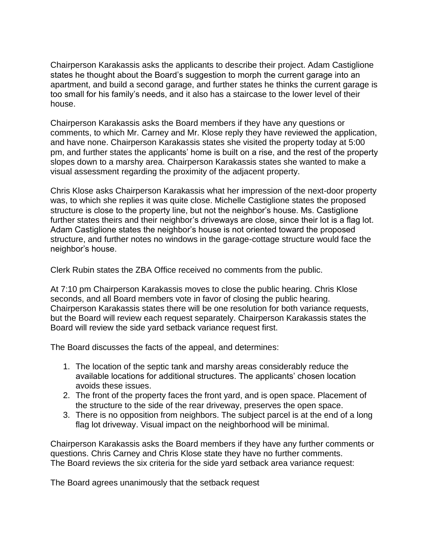Chairperson Karakassis asks the applicants to describe their project. Adam Castiglione states he thought about the Board's suggestion to morph the current garage into an apartment, and build a second garage, and further states he thinks the current garage is too small for his family's needs, and it also has a staircase to the lower level of their house.

Chairperson Karakassis asks the Board members if they have any questions or comments, to which Mr. Carney and Mr. Klose reply they have reviewed the application, and have none. Chairperson Karakassis states she visited the property today at 5:00 pm, and further states the applicants' home is built on a rise, and the rest of the property slopes down to a marshy area. Chairperson Karakassis states she wanted to make a visual assessment regarding the proximity of the adjacent property.

Chris Klose asks Chairperson Karakassis what her impression of the next-door property was, to which she replies it was quite close. Michelle Castiglione states the proposed structure is close to the property line, but not the neighbor's house. Ms. Castiglione further states theirs and their neighbor's driveways are close, since their lot is a flag lot. Adam Castiglione states the neighbor's house is not oriented toward the proposed structure, and further notes no windows in the garage-cottage structure would face the neighbor's house.

Clerk Rubin states the ZBA Office received no comments from the public.

At 7:10 pm Chairperson Karakassis moves to close the public hearing. Chris Klose seconds, and all Board members vote in favor of closing the public hearing. Chairperson Karakassis states there will be one resolution for both variance requests, but the Board will review each request separately. Chairperson Karakassis states the Board will review the side yard setback variance request first.

The Board discusses the facts of the appeal, and determines:

- 1. The location of the septic tank and marshy areas considerably reduce the available locations for additional structures. The applicants' chosen location avoids these issues.
- 2. The front of the property faces the front yard, and is open space. Placement of the structure to the side of the rear driveway, preserves the open space.
- 3. There is no opposition from neighbors. The subject parcel is at the end of a long flag lot driveway. Visual impact on the neighborhood will be minimal.

Chairperson Karakassis asks the Board members if they have any further comments or questions. Chris Carney and Chris Klose state they have no further comments. The Board reviews the six criteria for the side yard setback area variance request:

The Board agrees unanimously that the setback request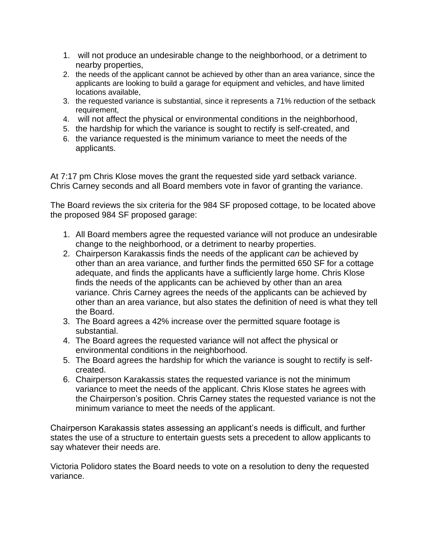- 1. will not produce an undesirable change to the neighborhood, or a detriment to nearby properties,
- 2. the needs of the applicant cannot be achieved by other than an area variance, since the applicants are looking to build a garage for equipment and vehicles, and have limited locations available,
- 3. the requested variance is substantial, since it represents a 71% reduction of the setback requirement,
- 4. will not affect the physical or environmental conditions in the neighborhood,
- 5. the hardship for which the variance is sought to rectify is self-created, and
- 6. the variance requested is the minimum variance to meet the needs of the applicants.

At 7:17 pm Chris Klose moves the grant the requested side yard setback variance. Chris Carney seconds and all Board members vote in favor of granting the variance.

The Board reviews the six criteria for the 984 SF proposed cottage, to be located above the proposed 984 SF proposed garage:

- 1. All Board members agree the requested variance will not produce an undesirable change to the neighborhood, or a detriment to nearby properties.
- 2. Chairperson Karakassis finds the needs of the applicant *can* be achieved by other than an area variance, and further finds the permitted 650 SF for a cottage adequate, and finds the applicants have a sufficiently large home. Chris Klose finds the needs of the applicants can be achieved by other than an area variance. Chris Carney agrees the needs of the applicants can be achieved by other than an area variance, but also states the definition of need is what they tell the Board.
- 3. The Board agrees a 42% increase over the permitted square footage is substantial.
- 4. The Board agrees the requested variance will not affect the physical or environmental conditions in the neighborhood.
- 5. The Board agrees the hardship for which the variance is sought to rectify is selfcreated.
- 6. Chairperson Karakassis states the requested variance is not the minimum variance to meet the needs of the applicant. Chris Klose states he agrees with the Chairperson's position. Chris Carney states the requested variance is not the minimum variance to meet the needs of the applicant.

Chairperson Karakassis states assessing an applicant's needs is difficult, and further states the use of a structure to entertain guests sets a precedent to allow applicants to say whatever their needs are.

Victoria Polidoro states the Board needs to vote on a resolution to deny the requested variance.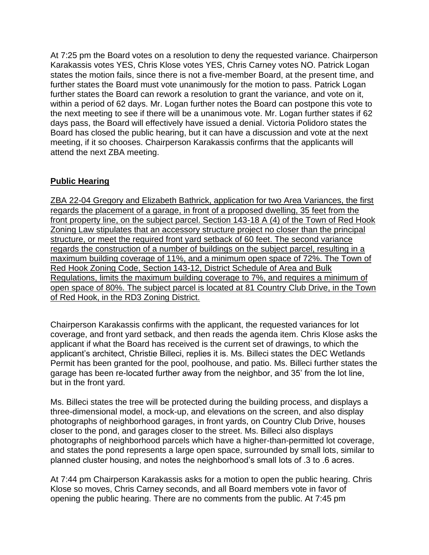At 7:25 pm the Board votes on a resolution to deny the requested variance. Chairperson Karakassis votes YES, Chris Klose votes YES, Chris Carney votes NO. Patrick Logan states the motion fails, since there is not a five-member Board, at the present time, and further states the Board must vote unanimously for the motion to pass. Patrick Logan further states the Board can rework a resolution to grant the variance, and vote on it, within a period of 62 days. Mr. Logan further notes the Board can postpone this vote to the next meeting to see if there will be a unanimous vote. Mr. Logan further states if 62 days pass, the Board will effectively have issued a denial. Victoria Polidoro states the Board has closed the public hearing, but it can have a discussion and vote at the next meeting, if it so chooses. Chairperson Karakassis confirms that the applicants will attend the next ZBA meeting.

# **Public Hearing**

ZBA 22-04 Gregory and Elizabeth Bathrick, application for two Area Variances, the first regards the placement of a garage, in front of a proposed dwelling, 35 feet from the front property line, on the subject parcel. Section 143-18 A (4) of the Town of Red Hook Zoning Law stipulates that an accessory structure project no closer than the principal structure, or meet the required front yard setback of 60 feet. The second variance regards the construction of a number of buildings on the subject parcel, resulting in a maximum building coverage of 11%, and a minimum open space of 72%. The Town of Red Hook Zoning Code, Section 143-12, District Schedule of Area and Bulk Regulations, limits the maximum building coverage to 7%, and requires a minimum of open space of 80%. The subject parcel is located at 81 Country Club Drive, in the Town of Red Hook, in the RD3 Zoning District.

Chairperson Karakassis confirms with the applicant, the requested variances for lot coverage, and front yard setback, and then reads the agenda item. Chris Klose asks the applicant if what the Board has received is the current set of drawings, to which the applicant's architect, Christie Billeci, replies it is. Ms. Billeci states the DEC Wetlands Permit has been granted for the pool, poolhouse, and patio. Ms. Billeci further states the garage has been re-located further away from the neighbor, and 35' from the lot line, but in the front yard.

Ms. Billeci states the tree will be protected during the building process, and displays a three-dimensional model, a mock-up, and elevations on the screen, and also display photographs of neighborhood garages, in front yards, on Country Club Drive, houses closer to the pond, and garages closer to the street. Ms. Billeci also displays photographs of neighborhood parcels which have a higher-than-permitted lot coverage, and states the pond represents a large open space, surrounded by small lots, similar to planned cluster housing, and notes the neighborhood's small lots of .3 to .6 acres.

At 7:44 pm Chairperson Karakassis asks for a motion to open the public hearing. Chris Klose so moves, Chris Carney seconds, and all Board members vote in favor of opening the public hearing. There are no comments from the public. At 7:45 pm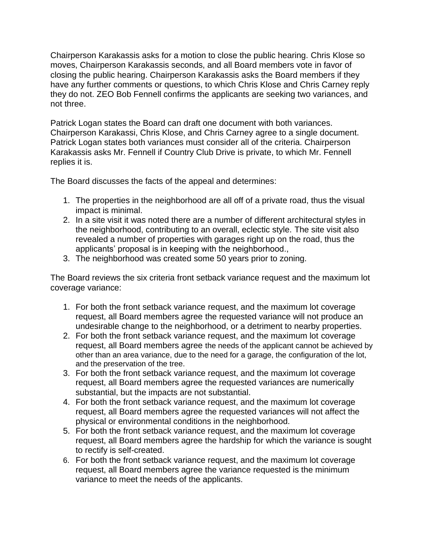Chairperson Karakassis asks for a motion to close the public hearing. Chris Klose so moves, Chairperson Karakassis seconds, and all Board members vote in favor of closing the public hearing. Chairperson Karakassis asks the Board members if they have any further comments or questions, to which Chris Klose and Chris Carney reply they do not. ZEO Bob Fennell confirms the applicants are seeking two variances, and not three.

Patrick Logan states the Board can draft one document with both variances. Chairperson Karakassi, Chris Klose, and Chris Carney agree to a single document. Patrick Logan states both variances must consider all of the criteria. Chairperson Karakassis asks Mr. Fennell if Country Club Drive is private, to which Mr. Fennell replies it is.

The Board discusses the facts of the appeal and determines:

- 1. The properties in the neighborhood are all off of a private road, thus the visual impact is minimal.
- 2. In a site visit it was noted there are a number of different architectural styles in the neighborhood, contributing to an overall, eclectic style. The site visit also revealed a number of properties with garages right up on the road, thus the applicants' proposal is in keeping with the neighborhood.,
- 3. The neighborhood was created some 50 years prior to zoning.

The Board reviews the six criteria front setback variance request and the maximum lot coverage variance:

- 1. For both the front setback variance request, and the maximum lot coverage request, all Board members agree the requested variance will not produce an undesirable change to the neighborhood, or a detriment to nearby properties.
- 2. For both the front setback variance request, and the maximum lot coverage request, all Board members agree the needs of the applicant cannot be achieved by other than an area variance, due to the need for a garage, the configuration of the lot, and the preservation of the tree.
- 3. For both the front setback variance request, and the maximum lot coverage request, all Board members agree the requested variances are numerically substantial, but the impacts are not substantial.
- 4. For both the front setback variance request, and the maximum lot coverage request, all Board members agree the requested variances will not affect the physical or environmental conditions in the neighborhood.
- 5. For both the front setback variance request, and the maximum lot coverage request, all Board members agree the hardship for which the variance is sought to rectify is self-created.
- 6. For both the front setback variance request, and the maximum lot coverage request, all Board members agree the variance requested is the minimum variance to meet the needs of the applicants.